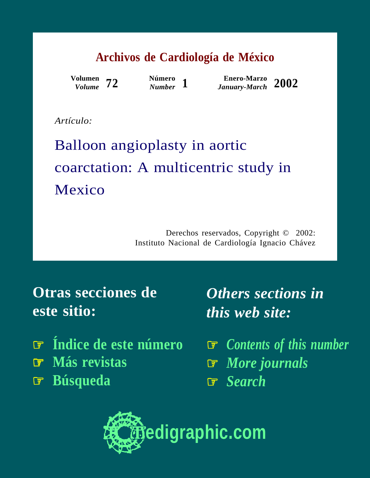#### **[Archivos de Cardiología de México](http://www.medigraphic.com/archivoscardiologia)**

*Volume* **72**

**Número**

*Number* **1 Enero-Marzo** *January-March* **2002 Volumen**

*Artículo:*

# Balloon angioplasty in aortic coarctation: A multicentric study in Mexico

Derechos reservados, Copyright © 2002: Instituto Nacional de Cardiología Ignacio Chávez

**Otras secciones de este sitio:**

- ☞ **[Índice de este número](http://www.medigraphic.com/espanol/e-htms/e-archi/e-ac2002/e-ac02-1/e1-ac021.htm)**
- ☞ **[Más revistas](http://www.medigraphic.com/espanol/e1-indic.htm)**
- ☞ **[Búsqueda](http://www.medigraphic.com/espanol/e-buscar/e1-busca.htm)**

*Others sections in this web site:*

☞ *[Contents of this number](http://www.medigraphic.com/ingles/i-htms/i-archi/i-ac2002/i-ac02-1/i1-ac021.htm)* ☞ *[More journals](http://www.medigraphic.com/ingles/i1-indic.htm)* ☞ *[Search](http://www.medigraphic.com/ingles/i-buscar/i1-busca.htm)*

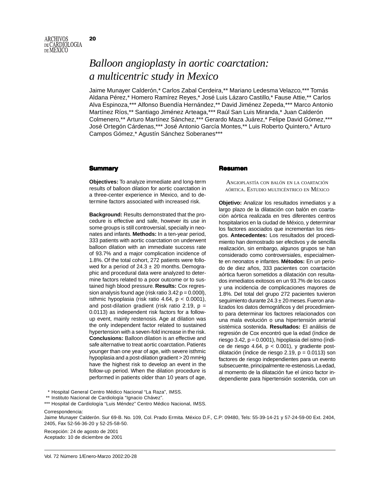20

# *Balloon angioplasty in aortic coarctation: a multicentric study in Mexico*

Jaime Munayer Calderón,\* Carlos Zabal Cerdeira,\*\* Mariano Ledesma Velazco,\*\*\* Tomás Aldana Pérez,\* Homero Ramírez Reyes,\* José Luis Lázaro Castillo,\* Fause Attie,\*\* Carlos Alva Espinoza,\*\*\* Alfonso Buendía Hernández,\*\* David Jiménez Zepeda,\*\*\* Marco Antonio Martínez Ríos,\*\* Santiago Jiménez Arteaga,\*\*\* Raúl San Luis Miranda,\* Juan Calderón Colmenero,\*\* Arturo Martínez Sánchez,\*\*\* Gerardo Maza Juárez,\* Felipe David Gómez,\*\*\* José Ortegón Cárdenas,\*\*\* José Antonio García Montes,\*\* Luis Roberto Quintero,\* Arturo Campos Gómez,\* Agustín Sánchez Soberanes\*\*\*

## **Summary**

**Objectives:** To analyze immediate and long-term results of balloon dilation for aortic coarctation in a three-center experience in Mexico, and to determine factors associated with increased risk.

**Background:** Results demonstrated that the procedure is effective and safe, however its use in some groups is still controversial, specially in neonates and infants. **Methods:** In a ten-year period, 333 patients with aortic coarctation on underwent balloon dilation with an immediate success rate of 93.7% and a major complication incidence of 1.8%. Of the total cohort, 272 patients were followed for a period of  $24.3 \pm 20$  months. Demographic and procedural data were analyzed to determine factors related to a poor outcome or to sustained high blood pressure. **Results:** Cox regression analysis found age (risk ratio  $3.42$  p = 0.000l), isthmic hypoplasia (risk ratio 4.64, p < 0.0001), and post-dilation gradient (risk ratio 2.19,  $p =$ 0.0113) as independent risk factors for a followup event, mainly restenosis. Age at dilation was the only independent factor related to sustained hypertension with a seven-fold increase in the risk. **Conclusions:** Balloon dilation is an effective and safe alternative to treat aortic coarctation. Patients younger than one year of age, with severe isthmic hypoplasia and a post-dilation gradient > 20 mmHg have the highest risk to develop an event in the follow-up period. When the dilation procedure is performed in patients older than 10 years of age,

## Resumen

ANGIOPLASTÍA CON BALÓN EN LA COARTACIÓN AÓRTICA. ESTUDIO MULTICÉNTRICO EN MÉXICO

**Objetivo:** Analizar los resultados inmediatos y a largo plazo de la dilatación con balón en coartación aórtica realizada en tres diferentes centros hospitalarios en la ciudad de México, y determinar los factores asociados que incrementan los riesgos. **Antecedentes:** Los resultados del procedimiento han demostrado ser efectivos y de sencilla realización, sin embargo, algunos grupos se han considerado como controversiales, especialmente en neonatos e infantes. **Métodos:** En un periodo de diez años, 333 pacientes con coartación aórtica fueron sometidos a dilatación con resultados inmediatos exitosos en un 93.7% de los casos y una incidencia de complicaciones mayores de 1.8%. Del total del grupo 272 pacientes tuvieron seguimiento durante 24.3 ± 20 meses. Fueron analizados los datos demográficos y del procedimiento para determinar los factores relacionados con una mala evolución o una hipertensión arterial sistémica sostenida. **Resultados:** El análisis de regresión de Cox encontró que la edad (índice de riesgo  $3.42$ ,  $p = 0.0001$ ), hipoplasia del istmo (índice de riesgo 4.64,  $p < 0.001$ ), y gradiente postdilatación (índice de riesgo 2.19,  $p = 0.0113$ ) son factores de riesgo independientes para un evento subsecuente, principalmente re-estenosis. La edad, al momento de la dilatación fue el único factor independiente para hipertensión sostenida, con un

\* Hospital General Centro Médico Nacional "La Raza", IMSS.

\*\* Instituto Nacional de Cardiología "Ignacio Chávez".

\*\*\* Hospital de Cardiología "Luis Méndez" Centro Médico Nacional, IMSS.

#### Correspondencia:

Recepción: 24 de agosto de 2001 Aceptado: 10 de diciembre de 2001

Jaime Munayer Calderón. Sur 69-B. No. 109, Col. Prado Ermita. México D.F., C.P: 09480, Tels: 55-39-14-21 y 57-24-59-00 Ext. 2404, 2405, Fax 52-56-36-20 y 52-25-58-50.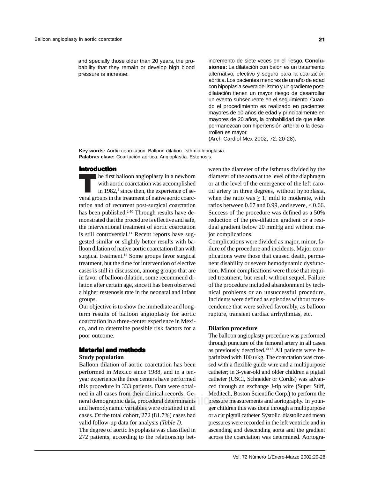and specially those older than 20 years, the probability that they remain or develop high blood pressure is increase.

incremento de siete veces en el riesgo. **Conclusiones:** La dilatación con balón es un tratamiento alternativo, efectivo y seguro para la coartación aórtica. Los pacientes menores de un año de edad con hipoplasia severa del istmo y un gradiente postdilatación tienen un mayor riesgo de desarrollar un evento subsecuente en el seguimiento. Cuando el procedimiento es realizado en pacientes mayores de 10 años de edad y principalmente en mayores de 20 años, la probabilidad de que ellos permanezcan con hipertensión arterial o la desarrollen es mayor.

(Arch Cardiol Mex 2002; 72: 20-28).

**Key words:** Aortic coarctation. Balloon dilation. Isthmic hipoplasia. **Palabras clave:** Coartación aórtica. Angioplastía. Estenosis.

## Introduction

he first balloon angioplasty in a newborn with aortic coarctation was accomplished in 1982, $<sup>1</sup>$  since then, the experience of se-</sup> veral groups in the treatment of native aortic coarctation and of recurrent post-surgical coarctation has been published.<sup>2-10</sup> Through results have demonstrated that the procedure is effective and safe, the interventional treatment of aortic coarctation is still controversial.<sup>11</sup> Recent reports have suggested similar or slightly better results with balloon dilation of native aortic coarctation than with surgical treatment.<sup>12</sup> Some groups favor surgical treatment, but the time for intervention of elective cases is still in discussion, among groups that are in favor of balloon dilation, some recommend dilation after certain age, since it has been observed a higher restenosis rate in the neonatal and infant groups.

Our objective is to show the immediate and longterm results of balloon angioplasty for aortic coarctation in a three-center experience in Mexico, and to determine possible risk factors for a poor outcome.

## Material and methods

## **Study population**

edigraphic data, procedural determinants pressure means demographic data, procedural determinants Balloon dilation of aortic coarctation has been performed in Mexico since 1988, and in a tenyear experience the three centers have performed this procedure in 333 patients. Data were obtained in all cases from their clinical records. Geand hemodynamic variables were obtained in all cases. Of the total cohort, 272 (81.7%) cases had valid follow-up data for analysis *(Table I).*

The degree of aortic hypoplasia was classified in 272 patients, according to the relationship bet-

ween the diameter of the isthmus divided by the diameter of the aorta at the level of the diaphragm or at the level of the emergence of the left carotid artery in three degrees, without hypoplasia, when the ratio was  $\geq 1$ ; mild to moderate, with ratios between 0.67 and 0.99, and severe,  $\leq$  0.66. Success of the procedure was defined as a 50% reduction of the pre-dilation gradient or a residual gradient below 20 mmHg and without major complications.

Complications were divided as major, minor, failure of the procedure and incidents. Major complications were those that caused death, permanent disability or severe hemodynamic dysfunction. Minor complications were those that required treatment, but result without sequel. Failure of the procedure included abandonment by technical problems or an unsuccessful procedure. Incidents were defined as episodes without transcendence that were solved favorably, as balloon rupture, transient cardiac arrhythmias, etc.

## **Dilation procedure**

The balloon angioplasty procedure was performed through puncture of the femoral artery in all cases as previously described.13-18 All patients were heparinized with 100 u/kg. The coarctation was crossed with a flexible guide wire and a multipurpose catheter; in 3-year-old and older children a pigtail catheter (USCI, Schneider or Cordis) was advanced through an exchange J-tip wire (Super Stiff, Meditech, Boston Scientific Corp.) to perform the pressure measurements and aortography. In younger children this was done through a multipurpose or a cut pigtail catheter. Systolic, diastolic and mean pressures were recorded in the left ventricle and in ascending and descending aorta and the gradient across the coarctation was determined. Aortogra-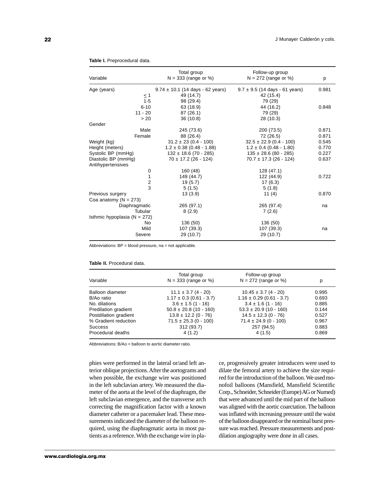| Variable                         | Total group<br>$N = 333$ (range or %) | Follow-up group<br>$N = 272$ (range or %) |       |
|----------------------------------|---------------------------------------|-------------------------------------------|-------|
|                                  |                                       |                                           | p     |
| Age (years)                      | $9.74 \pm 10.1$ (14 days - 62 years)  | $9.7 \pm 9.5$ (14 days - 61 years)        | 0.981 |
| $\leq$ 1                         | 49 (14.7)                             | 42 (15.4)                                 |       |
| $1 - 5$                          | 98 (29.4)                             | 79 (29)                                   |       |
| $6 - 10$                         | 63 (18.9)                             | 44 (16.2)                                 | 0.848 |
| $11 - 20$                        | 87(26.1)                              | 79 (29)                                   |       |
| > 20                             | 36(10.8)                              | 28 (10.3)                                 |       |
| Gender                           |                                       |                                           |       |
| Male                             | 245 (73.6)                            | 200 (73.5)                                | 0.871 |
| Female                           | 88 (26.4)                             | 72 (26.5)                                 | 0.871 |
| Weight (kg)                      | $31.2 \pm 23 (0.4 - 100)$             | $32.5 \pm 22.9$ (0.4 - 100)               | 0.545 |
| Height (meters)                  | $1.2 \pm 0.38$ (0.48 - 1.88)          | $1.2 \pm 0.4$ (0.48 - 1.80)               | 0.770 |
| Systolic BP (mmHg)               | $132 \pm 18.6$ (70 - 285)             | $135 \pm 28.6$ (80 - 285)                 | 0.227 |
| Diastolic BP (mmHg)              | $70 \pm 17.2$ (26 - 124)              | $70.7 \pm 17.3$ (26 - 124)                | 0.637 |
| Antihypertensives                |                                       |                                           |       |
| 0                                | 160 (48)                              | 128 (47.1)                                |       |
| 1                                | 149 (44.7)                            | 122 (44.9)                                | 0.722 |
| $\overline{c}$                   | 19(5.7)                               | 17(6.3)                                   |       |
| 3                                | 5(1.5)                                | 5(1.8)                                    |       |
| Previous surgery                 | 13(3.9)                               | 11 $(4)$                                  | 0.870 |
| Coa anatomy $(N = 273)$          |                                       |                                           |       |
| Diaphragmatic                    | 265 (97.1)                            | 265 (97.4)                                | na    |
| Tubular                          | 8(2.9)                                | 7(2.6)                                    |       |
| Isthmic hypoplasia ( $N = 272$ ) |                                       |                                           |       |
| No                               | 136 (50)                              | 136 (50)                                  |       |
| Mild                             | 107 (39.3)                            | 107 (39.3)                                | na    |
| Severe                           | 29 (10.7)                             | 29 (10.7)                                 |       |

**Table I.** Preprocedural data.

Abbreviations: BP = blood pressure, na = not applicable.

#### **Table II.** Procedural data.

| Variable              | Total group<br>$N = 333$ (range or %) | Follow-up group<br>$N = 272$ (range or %) | р     |
|-----------------------|---------------------------------------|-------------------------------------------|-------|
|                       |                                       |                                           |       |
| Balloon diameter      | $11.1 \pm 3.7 (4 - 20)$               | $10.45 \pm 3.7 (4 - 20)$                  | 0.995 |
| B/Ao ratio            | $1.17 \pm 0.3$ (0.61 - 3.7)           | $1.16 \pm 0.29$ (0.61 - 3.7)              | 0.693 |
| No. dilations         | $3.6 \pm 1.5$ (1 - 16)                | $3.4 \pm 1.6$ (1 - 16)                    | 0.885 |
| Predilation gradient  | $50.8 \pm 20.8$ (10 - 160)            | $53.3 \pm 20.9$ (10 - 160)                | 0.144 |
| Postdilation gradient | $13.8 \pm 12.2$ (0 - 76)              | $14.5 \pm 12.3$ (0 - 76)                  | 0.527 |
| % Gradient reduction  | $71.5 \pm 25.3$ (0 - 100)             | $71.4 \pm 24.9$ (0 - 100)                 | 0.967 |
| <b>Success</b>        | 312 (93.7)                            | 257 (94.5)                                | 0.883 |
| Procedural deaths     | 4(1.2)                                | 4(1.5)                                    | 0.869 |

Abbreviations: B/Ao = balloon to aortic diameter ratio.

phies were performed in the lateral or/and left anterior oblique projections. After the aortograms and when possible, the exchange wire was positioned in the left subclavian artery. We measured the diameter of the aorta at the level of the diaphragm, the left subclavian emergence, and the transverse arch correcting the magnification factor with a known diameter catheter or a pacemaker lead. These measurements indicated the diameter of the balloon required, using the diaphragmatic aorta in most patients as a reference. With the exchange wire in place, progressively greater introducers were used to dilate the femoral artery to achieve the size required for the introduction of the balloon. We used monofoil balloons (Mansfield, Mansfield Scientific Corp., Schneider, Schneider (Europe) AG or Numed) that were advanced until the mid part of the balloon was aligned with the aortic coarctation. The balloon was inflated with increasing pressure until the waist of the balloon disappeared or the nominal burst pressure was reached. Pressure measurements and postdilation angiography were done in all cases.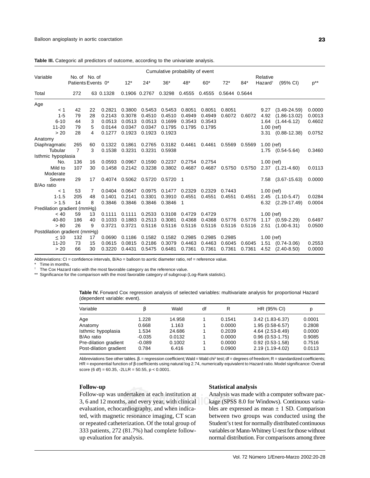|                              |                    |    |           |        |               |            | Cumulative probability of event |        |               |        |                     |                         |          |
|------------------------------|--------------------|----|-----------|--------|---------------|------------|---------------------------------|--------|---------------|--------|---------------------|-------------------------|----------|
| Variable                     | No. of No. of      |    |           |        |               |            |                                 |        |               |        | Relative            |                         |          |
|                              | Patients Events 0* |    |           | $12*$  | $24*$         | $36*$      | 48*                             | $60*$  | $72*$         | $84*$  | Hazard <sup>+</sup> | $(95% \text{ Cl})$      | $p^{**}$ |
| Total                        | 272                |    | 63 0.1328 |        | 0.1906 0.2767 | 0.3298     | 0.4555                          | 0.4555 | 0.5644 0.5644 |        |                     |                         |          |
| Age                          |                    |    |           |        |               |            |                                 |        |               |        |                     |                         |          |
| < 1                          | 42                 | 22 | 0.2821    | 0.3800 | 0.5453        | 0.5453     | 0.8051                          | 0.8051 | 0.8051        |        | 9.27                | $(3.49 - 24.59)$        | 0.0000   |
| $1 - 5$                      | 79                 | 28 | 0.2143    | 0.3078 | 0.4510        | 0.4510     | 0.4949                          | 0.4949 | 0.6072        | 0.6072 | 4.92                | $(1.86 - 13.02)$        | 0.0013   |
| $6 - 10$                     | 44                 | 3  | 0.0513    | 0.0513 | 0.0513        | 0.1699     | 0.3543                          | 0.3543 |               |        | 1.64                | $(1.44 - 6.12)$         | 0.4602   |
| $11 - 20$                    | 79                 | 5  | 0.0144    | 0.0347 | 0.0347        | 0.1795     | 0.1795                          | 0.1795 |               |        | $1.00$ (ref)        |                         |          |
| > 20                         | 28                 | 4  | 0.1277    | 0.1923 | 0.1923        | 0.1923     |                                 |        |               |        |                     | $3.31$ $(0.88 - 12.38)$ | 0.0752   |
| Anatomy                      |                    |    |           |        |               |            |                                 |        |               |        |                     |                         |          |
| Diaphragmatic                | 265                | 60 | 0.1322    | 0.1861 | 0.2765        | 0.3182     | 0.4461                          | 0.4461 | 0.5569        | 0.5569 | $1.00$ (ref)        |                         |          |
| Tubular                      | $\overline{7}$     | 3  | 0.1538    | 0.3231 | 0.3231        | 0.5938     |                                 |        |               |        | 1.75                | $(0.54 - 5.64)$         | 0.3460   |
| Isthmic hypoplasia           |                    |    |           |        |               |            |                                 |        |               |        |                     |                         |          |
| No.                          | 136                | 16 | 0.0593    | 0.0967 | 0.1590        | 0.2237     | 0.2754                          | 0.2754 |               |        | $1.00$ (ref)        |                         |          |
| Mild to                      | 107                | 30 | 0.1458    | 0.2142 | 0.3238        | 0.3802     | 0.4687                          | 0.4687 | 0.5750        | 0.5750 |                     | $2.37$ $(1.21 - 4.60)$  | 0.0113   |
| Moderate                     |                    |    |           |        |               |            |                                 |        |               |        |                     |                         |          |
| Severe                       | 29                 | 17 | 0.4074    |        | 0.5062 0.5720 | $0.5720$ 1 |                                 |        |               |        | 7.58                | $(3.67 - 15.63)$        | 0.0000   |
| B/Ao ratio                   |                    |    |           |        |               |            |                                 |        |               |        |                     |                         |          |
| < 1                          | 53                 | 7  | 0.0404    | 0.0647 | 0.0975        | 0.1477     | 0.2329                          | 0.2329 | 0.7443        |        | $1.00$ (ref)        |                         |          |
| $1 - 1.5$                    | 205                | 48 | 0.1401    | 0.2141 | 0.3301        | 0.3910     | 0.4551                          | 0.4551 | 0.4551        | 0.4551 |                     | $2.45$ $(1.10-5.47)$    | 0.0284   |
| > 1.5                        | 14                 | 8  | 0.3846    | 0.3846 | 0.3846        | 0.3846     | 1                               |        |               |        | 6.32                | $(2.29 - 17.49)$        | 0.0004   |
| Predilation gradient (mmHg)  |                    |    |           |        |               |            |                                 |        |               |        |                     |                         |          |
| ~< 40                        | 59                 | 13 | 0.1111    | 0.1111 | 0.2533        | 0.3108     | 0.4729                          | 0.4729 |               |        | $1.00$ (ref)        |                         |          |
| 40-80                        | 186                | 40 | 0.1033    | 0.1883 | 0.2513        | 0.3081     | 0.4368                          | 0.4368 | 0.5776        | 0.5776 |                     | $1.17$ $(0.59-2.29)$    | 0.6497   |
| > 80                         | 26                 | 9  | 0.3721    | 0.3721 | 0.5116        | 0.5116     | 0.5116                          | 0.5116 | 0.5116        | 0.5116 | 2.51                | $(1.00 - 6.31)$         | 0.0500   |
| Postdilation gradient (mmHg) |                    |    |           |        |               |            |                                 |        |               |        |                     |                         |          |
| < 10                         | 132                | 17 | 0.0690    | 0.1186 | 0.1582        | 0.1582     | 0.2985                          | 0.2985 | 0.2985        |        | $1.00$ (ref)        |                         |          |
| $11 - 20$                    | 73                 | 15 | 0.0615    | 0.0815 | 0.2186        | 0.3079     | 0.4463                          | 0.4463 | 0.6045        | 0.6045 | 1.51                | $(0.74 - 3.06)$         | 0.2553   |
| > 20                         | 66                 | 30 | 0.3220    | 0.4431 | 0.5475        | 0.6481     | 0.7361                          | 0.7361 | 0.7361        | 0.7361 | 4.52                | $(2.40 - 8.50)$         | 0.0000   |

Table III. Categoric all predictors of outcome, according to the univariate analysis.

Abbreviations: CI = confidence intervals, B/Ao = balloon to aortic diameter ratio, ref = reference value.

Time in months.

† The Cox Hazard ratio with the most favorable category as the reference value.

\*\* Significance for the comparison with the most favorable category of subgroup (Log-Rank statistic).

**Table IV.** Forward Cox regression analysis of selected variables: multivariate analysis for proportional Hazard (dependent variable: event).

| Variable               |          | Wald   | df | R      | HR (95% CI)         | p      |
|------------------------|----------|--------|----|--------|---------------------|--------|
| Age                    | 1.228    | 14.958 |    | 0.1541 | $3.42(1.83 - 6.37)$ | 0.0001 |
| Anatomy                | 0.668    | 1.163  |    | 0.0000 | $1.95(0.58-6.57)$   | 0.2808 |
| Isthmic hypoplasia     | 1.534    | 24.686 | 1  | 0.2039 | $4.64(2.53-8.49)$   | 0.0000 |
| B/Ao ratio             | $-0.035$ | 0.0132 | 1  | 0.0000 | $0.96(0.53-1.75)$   | 0.9085 |
| Pre-dilation gradient  | $-0.089$ | 0.1002 |    | 0.0000 | $0.92(0.53-1.58)$   | 0.7516 |
| Post-dilation gradient | 0.784    | 6.416  |    | 0.0900 | $2.19(1.19-4.02)$   | 0.0113 |

Abbreviations See other tables. β. = regression coefficient; Wald = Wald chi<sup>2</sup> test; df = degrees of freedom; R = standardized coefficients; HR = exponential function of β coefficients using natural log 2.74, numerically equivalent to Hazard ratio. Model significance: Overall score (6 df) =  $60.35$ , -2LLR =  $50.55$ ,  $p < 0.0001$ .

### **Follow-up**

**edigeral** and the method of the computation and the computation of the computation of the computation of the computation of the computation of the computation of the computation of the computation of the computation of th Follow-up was undertaken at each institution at evaluation, echocardiography, and when indicated, with magnetic resonance imaging, CT scan or repeated catheterization. Of the total group of 333 patients, 272 (81.7%) had complete followup evaluation for analysis.

#### **Statistical analysis**

Analysis was made with a computer software package (SPSS 8.0 for Windows). Continuous variables are expressed as mean  $\pm$  1 SD. Comparison between two groups was conducted using the Student's t test for normally distributed continuous variables or Mann-Whitney U-test for those without normal distribution. For comparisons among three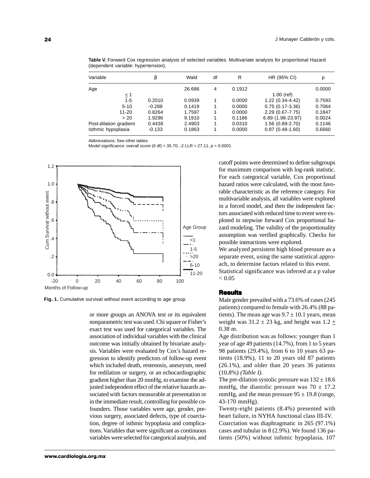| Variable               | ß        | Wald   | df | R      | HR (95% CI)         | р      |
|------------------------|----------|--------|----|--------|---------------------|--------|
| Age                    |          | 26.686 | 4  | 0.1912 |                     | 0.0000 |
| $\leq$ 1               |          |        |    |        | $1.00$ (ref)        |        |
| $1 - 5$                | 0.2010   | 0.0939 |    | 0.0000 | $1.22(0.34-4.42)$   | 0.7593 |
| $5 - 10$               | $-0.288$ | 0.1419 |    | 0.0000 | $0.75(0.17-3.36)$   | 0.7064 |
| $11 - 20$              | 0.8264   | 1.7597 |    | 0.0000 | $2.29(0.67 - 7.75)$ | 0.1847 |
| > 20                   | 1.9296   | 9.1910 |    | 0.1186 | 6.89 (1.98-23.97)   | 0.0024 |
| Post-dilation gradient | 0.4438   | 2.4903 |    | 0.0310 | $1.56(0.89-2.70)$   | 0.1146 |
| Isthmic hypoplasia     | $-0.133$ | 0.1863 |    | 0.0000 | $0.87(0.48-1.60)$   | 0.6660 |

**Table V.** Forward Cox regression analysis of selected variables. Multivariate analysis for proportional Hazard (dependent variable: hypertension).

Abbreviations: See other tables

Model significance: overall score (6 df) = 35.70, -2 LLR = 27.11, p = 0.0001



**Fig. 1.** Cumulative survival without event according to age group.

or more groups an ANOVA test or its equivalent nonparametric test was used. Chi square or Fisher's exact test was used for categorical variables. The association of individual variables with the clinical outcome was initially obtained by bivariate analysis. Variables were evaluated by Cox's hazard regression to identify predictors of follow-up event which included death, restenosis, aneurysm, need for redilation or surgery, or an echocardiographic gradient higher than 20 mmHg, to examine the adjusted independent effect of the relative hazards associated with factors measurable at presentation or in the immediate result, controlling for possible cofounders. Those variables were age, gender, previous surgery, associated defects, type of coarctation, degree of isthmic hypoplasia and complications. Variables that were significant as continuous variables were selected for categorical analysis, and

cutoff points were determined to define subgroups for maximum comparison with log-rank statistic. For each categorical variable, Cox proportional hazard ratios were calculated, with the most favorable characteristic as the reference category. For multivariable analysis, all variables were explored in a forced model, and then the independent factors associated with reduced time to event were explored in stepwise forward Cox proportional hazard modeling. The validity of the proportionality assumption was verified graphically. Checks for possible interactions were explored.

We analyzed persistent high blood pressure as a separate event, using the same statistical approach, to determine factors related to this event.

Statistical significance was inferred at a p value  $< 0.05$ 

## **Results**

Male gender prevailed with a 73.6% of cases (245 patients) compared to female with 26.4% (88 patients). The mean age was  $9.7 \pm 10.1$  years, mean weight was  $31.2 \pm 23$  kg, and height was  $1.2 \pm$ 0.38 m.

Age distribution was as follows: younger than 1 year of age 49 patients (14.7%), from 1 to 5 years 98 patients (29.4%), from 6 to 10 years 63 patients (18.9%), 11 to 20 years old 87 patients (26.1%), and older than 20 years 36 patients (10.8%) *(Table I).*

The pre-dilation systolic pressure was  $132 \pm 18.6$ mmHg, the diastolic pressure was  $70 \pm 17.2$ mmHg, and the mean pressure  $95 \pm 19.8$  (range, 43-170 mmHg).

Twenty-eight patients (8.4%) presented with heart failure, in NYHA functional class III-IV. Coarctation was diaphragmatic in 265 (97.1%) cases and tubular in 8 (2.9%). We found 136 patients (50%) without isthmic hypoplasia, 107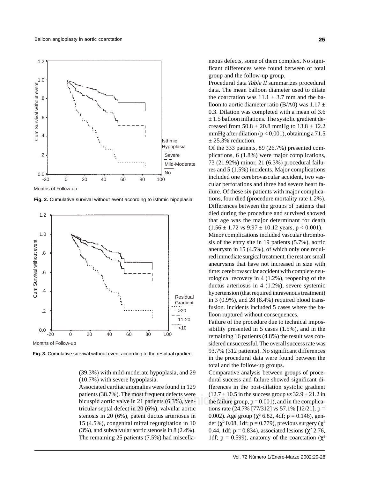

**Fig. 2.** Cumulative survival without event according to isthmic hipoplasia.



**Fig. 3.** Cumulative survival without event according to the residual gradient.

(39.3%) with mild-moderate hypoplasia, and 29 (10.7%) with severe hypoplasia.

bicuspid aortic valve in 21 patients (6.3%), ven-<br>bicuspid aortic valve in 21 patients (6.3%), ven-<br>the failure g Associated cardiac anomalies were found in 129 patients (38.7%). The most frequent defects were tricular septal defect in 20 (6%), valvular aortic stenosis in 20 (6%), patent ductus arteriosus in 15 (4.5%), congenital mitral regurgitation in 10 (3%), and subvalvular aortic stenosis in 8 (2.4%). The remaining 25 patients (7.5%) had miscella-

neous defects, some of them complex. No significant differences were found between of total group and the follow-up group.

Procedural data *Table II* summarizes procedural data. The mean balloon diameter used to dilate the coarctation was  $11.1 \pm 3.7$  mm and the balloon to aortic diameter ratio (B/A0) was  $1.17 \pm$ 0.3. Dilation was completed with a mean of 3.6  $\pm$  1.5 balloon inflations. The systolic gradient decreased from  $50.8 \pm 20.8$  mmHg to  $13.8 \pm 12.2$ mmHg after dilation ( $p < 0.001$ ), obtaining a 71.5  $\pm$  25.3% reduction.

Of the 333 patients, 89 (26.7%) presented complications, 6 (1.8%) were major complications, 73 (21.92%) minor, 21 (6.3%) procedural failures and 5 (1.5%) incidents. Major complications included one cerebrovascular accident, two vascular perforations and three had severe heart failure. Of these six patients with major complications, four died (procedure mortality rate 1.2%). Differences between the groups of patients that died during the procedure and survived showed that age was the major determinant for death  $(1.56 \pm 1.72 \text{ vs } 9.97 \pm 10.12 \text{ years}, p < 0.001).$ Minor complications included vascular thrombosis of the entry site in 19 patients (5.7%), aortic aneurysm in 15 (4.5%), of which only one required immediate surgical treatment, the rest are small

aneurysms that have not increased in size with time: cerebrovascular accident with complete neurological recovery in 4 (1.2%), reopening of the ductus arteriosus in 4 (1.2%), severe systemic hypertension (that required intravenous treatment) in 3 (0.9%), and 28 (8.4%) required blood transfusion. Incidents included 5 cases where the balloon ruptured without consequences.

Failure of the procedure due to technical impossibility presented in 5 cases (1.5%), and in the remaining 16 patients (4.8%) the result was considered unsuccessful. The overall success rate was 93.7% (312 patients). No significant differences in the procedural data were found between the total and the follow-up groups.

Comparative analysis between groups of procedural success and failure showed significant differences in the post-dilation systolic gradient  $(12.7 \pm 10.5 \text{ in the success group } vs \, 32.9 \pm 21.2 \text{ in}$ the failure group,  $p = 0.001$ ), and in the complications rate (24.7% [77/312] *vs* 57.1% [12/21], p = 0.002). Age group ( $\chi^2$  6.82, 4df; p = 0.146), gender ( $\chi^2$  0.08, 1df; p = 0.779), previous surgery ( $\chi^2$ 0.44, 1df;  $p = 0.834$ ), associated lesions ( $\chi^2$  2.76, 1df;  $p = 0.599$ ), anatomy of the coarctation ( $\chi^2$ )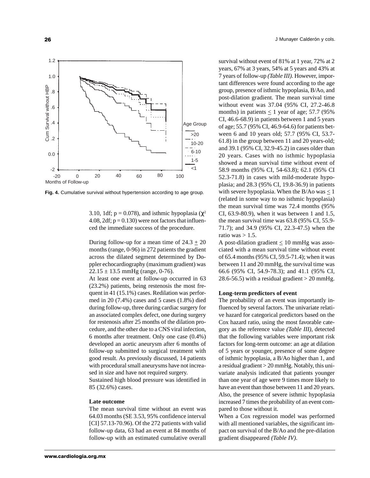

**Fig. 4.** Cumulative survival without hypertension according to age group.

3.10, 1df;  $p = 0.078$ ), and isthmic hypoplasia ( $\chi^2$ ) 4.08, 2df;  $p = 0.130$ ) were not factors that influenced the immediate success of the procedure.

During follow-up for a mean time of  $24.3 \pm 20$ months (range, 0-96) in 272 patients the gradient across the dilated segment determined by Doppler echocardiography (maximum gradient) was  $22.15 \pm 13.5$  mmHg (range, 0-76).

At least one event at follow-up occurred in 63 (23.2%) patients, being restenosis the most frequent in 41 (15.1%) cases. Redilation was performed in 20 (7.4%) cases and 5 cases (1.8%) died during follow-up, three during cardiac surgery for an associated complex defect, one during surgery for restenosis after 25 months of the dilation procedure, and the other due to a CNS viral infection, 6 months after treatment. Only one case (0.4%) developed an aortic aneurysm after 6 months of follow-up submitted to surgical treatment with good result. As previously discussed, 14 patients with procedural small aneurysms have not increased in size and have not required surgery. Sustained high blood pressure was identified in

85 (32.6%) cases.

#### **Late outcome**

The mean survival time without an event was 64.03 months (SE 3.53, 95% confidence interval [CI] 57.13-70.96). Of the 272 patients with valid follow-up data, 63 had an event at 84 months of follow-up with an estimated cumulative overall

survival without event of 81% at 1 year, 72% at 2 years, 67% at 3 years, 54% at 5 years and 43% at 7 years of follow-up *(Table III).* However, important differences were found according to the age group, presence of isthmic hypoplasia, B/Ao, and post-dilation gradient. The mean survival time without event was 37.04 (95% CI, 27.2-46.8 months) in patients  $\leq 1$  year of age; 57.7 (95%) CI, 46.6-68.9) in patients between 1 and 5 years of age; 55.7 (95% CI, 46.9-64.6) for patients between 6 and 10 years old; 57.7 (95% CI, 53.7- 61.8) in the group between 11 and 20 years-old; and 39.1 (95% CI, 32.9-45.2) in cases older than 20 years. Cases with no isthmic hypoplasia showed a mean survival time without event of 58.9 months (95% CI, 54-63.8); 62.1 (95% CI 52.3-71.8) in cases with mild-moderate hypoplasia; and 28.3 (95% CI, 19.8-36.9) in patients with severe hypoplasia. When the B/Ao was  $\leq 1$ (related in some way to no isthmic hypoplasia) the mean survival time was 72.4 months (95% CI, 63.9-80.9), when it was between 1 and 1.5, the mean survival time was 63.8 (95% CI, 55.9- 71.7); and 34.9 (95% CI, 22.3-47.5) when the ratio was  $> 1.5$ .

A post-dilation gradient  $\leq 10$  mmHg was associated with a mean survival time without event of 65.4 months (95% CI, 59.5-71.4); when it was between 11 and 20 mmHg, the survival time was 66.6 (95% CI, 54.9-78.3); and 41.1 (95% CI, 28.6-56.5) with a residual gradient  $>$  20 mmHg.

## **Long-term predictors of event**

The probability of an event was importantly influenced by several factors. The univariate relative hazard for categorical predictors based on the Cox hazard ratio, using the most favorable category as the reference value *(Table III),* detected that the following variables were important risk factors for long-term outcome: an age at dilation of 5 years or younger, presence of some degree of isthmic hypoplasia, a B/Ao higher than 1, and a residual gradient > 20 mmHg. Notably, this univariate analysis indicated that patients younger than one year of age were 9 times more likely to have an event than those between 11 and 20 years. Also, the presence of severe isthmic hypoplasia increased 7 times the probability of an event compared to those without it.

When a Cox regression model was performed with all mentioned variables, the significant impact on survival of the B/Ao and the pre-dilation gradient disappeared *(Table IV).*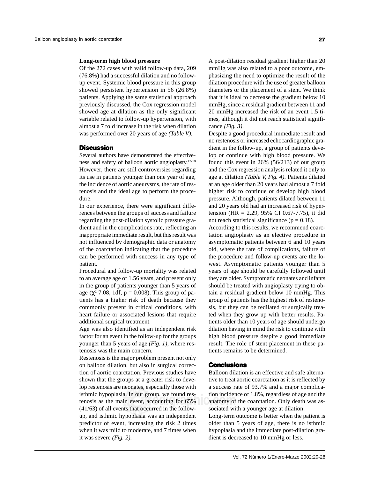## **Long-term high blood pressure**

Of the 272 cases with valid follow-up data, 209 (76.8%) had a successful dilation and no followup event. Systemic blood pressure in this group showed persistent hypertension in 56 (26.8%) patients. Applying the same statistical approach previously discussed, the Cox regression model showed age at dilation as the only significant variable related to follow-up hypertension, with almost a 7 fold increase in the risk when dilation was performed over 20 years of age *(Table V).*

## **Discussion**

Several authors have demonstrated the effectiveness and safety of balloon aortic angioplasty.12-18 However, there are still controversies regarding its use in patients younger than one year of age, the incidence of aortic aneurysms, the rate of restenosis and the ideal age to perform the procedure.

In our experience, there were significant differences between the groups of success and failure regarding the post-dilation systolic pressure gradient and in the complications rate, reflecting an inappropriate immediate result, but this result was not influenced by demographic data or anatomy of the coarctation indicating that the procedure can be performed with success in any type of patient.

Procedural and follow-up mortality was related to an average age of 1.56 years, and present only in the group of patients younger than 5 years of age ( $\chi^2$  7.08, 1df,  $p = 0.008$ ). This group of patients has a higher risk of death because they commonly present in critical conditions, with heart failure or associated lesions that require additional surgical treatment.

Age was also identified as an independent risk factor for an event in the follow-up for the groups younger than 5 years of age *(Fig. 1),* where restenosis was the main concern.

**ediate** is the main event, accounting for 65% and the main event, accounting for 65% Restenosis is the major problem present not only on balloon dilation, but also in surgical correction of aortic coarctation. Previous studies have shown that the groups at a greater risk to develop restenosis are neonates, especially those with isthmic hypoplasia. In our group, we found res-(41/63) of all events that occurred in the followup, and isthmic hypoplasia was an independent predictor of event, increasing the risk 2 times when it was mild to moderate, and 7 times when it was severe *(Fig. 2).*

A post-dilation residual gradient higher than 20 mmHg was also related to a poor outcome, emphasizing the need to optimize the result of the dilation procedure with the use of greater balloon diameters or the placement of a stent. We think that it is ideal to decrease the gradient below 10 mmHg, since a residual gradient between 11 and 20 mmHg increased the risk of an event 1.5 times, although it did not reach statistical significance *(Fig. 3).*

Despite a good procedural immediate result and no restenosis or increased echocardiographic gradient in the follow-up, a group of patients develop or continue with high blood pressure. We found this event in 26% (56/213) of our group and the Cox regression analysis related it only to age at dilation *(Table V, Fig. 4).* Patients dilated at an age older than 20 years had almost a 7 fold higher risk to continue or develop high blood pressure. Although, patients dilated between 11 and 20 years old had an increased risk of hypertension (HR = 2.29, 95% CI 0.67-7.75), it did not reach statistical significance ( $p = 0.18$ ).

According to this results, we recommend coarctation angioplasty as an elective procedure in asymptomatic patients between 6 and 10 years old, where the rate of complications, failure of the procedure and follow-up events are the lowest. Asymptomatic patients younger than 5 years of age should be carefully followed until they are older. Symptomatic neonates and infants should be treated with angioplasty trying to obtain a residual gradient below 10 mmHg. This group of patients has the highest risk of restenosis, but they can be redilated or surgically treated when they grow up with better results. Patients older than 10 years of age should undergo dilation having in mind the risk to continue with high blood pressure despite a good immediate result. The role of stent placement in these patients remains to be determined.

## **Conclusions**

Balloon dilation is an effective and safe alternative to treat aortic coarctation as it is reflected by a success rate of 93.7% and a major complication incidence of 1.8%, regardless of age and the anatomy of the coarctation. Only death was associated with a younger age at dilation.

Long-term outcome is better when the patient is older than 5 years of age, there is no isthmic hypoplasia and the immediate post-dilation gradient is decreased to 10 mmHg or less.